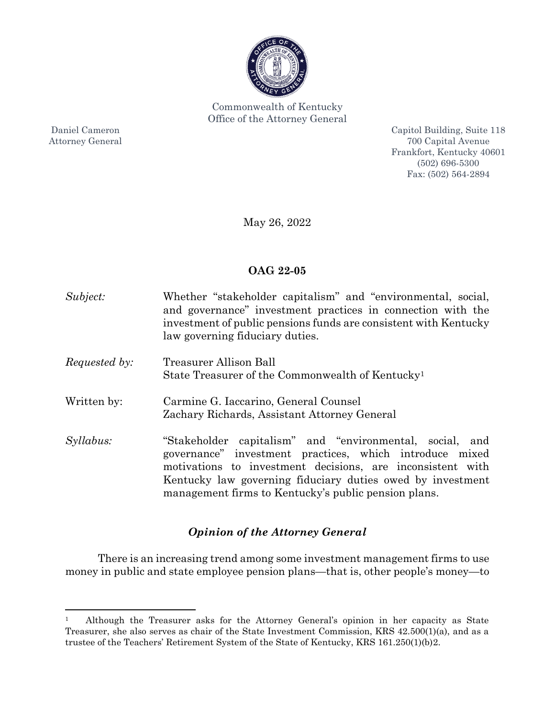

Commonwealth of Kentucky Office of the Attorney General

Daniel Cameron Attorney General

l

Capitol Building, Suite 118 700 Capital Avenue Frankfort, Kentucky 40601 (502) 696-5300 Fax: (502) 564-2894

May 26, 2022

# **OAG 22-05**

| Subject:             | Whether "stakeholder capitalism" and "environmental, social,<br>and governance" investment practices in connection with the<br>investment of public pensions funds are consistent with Kentucky<br>law governing fiduciary duties.                                                                      |
|----------------------|---------------------------------------------------------------------------------------------------------------------------------------------------------------------------------------------------------------------------------------------------------------------------------------------------------|
| <i>Requested by:</i> | Treasurer Allison Ball                                                                                                                                                                                                                                                                                  |
|                      | State Treasurer of the Commonwealth of Kentucky <sup>1</sup>                                                                                                                                                                                                                                            |
| Written by:          | Carmine G. Iaccarino, General Counsel<br>Zachary Richards, Assistant Attorney General                                                                                                                                                                                                                   |
| Syllabus:            | "Stakeholder capitalism" and "environmental, social, and<br>governance" investment practices, which introduce mixed<br>motivations to investment decisions, are inconsistent with<br>Kentucky law governing fiduciary duties owed by investment<br>management firms to Kentucky's public pension plans. |

# *Opinion of the Attorney General*

There is an increasing trend among some investment management firms to use money in public and state employee pension plans—that is, other people's money—to

<sup>1</sup> Although the Treasurer asks for the Attorney General's opinion in her capacity as State Treasurer, she also serves as chair of the State Investment Commission, KRS 42.500(1)(a), and as a trustee of the Teachers' Retirement System of the State of Kentucky, KRS 161.250(1)(b)2.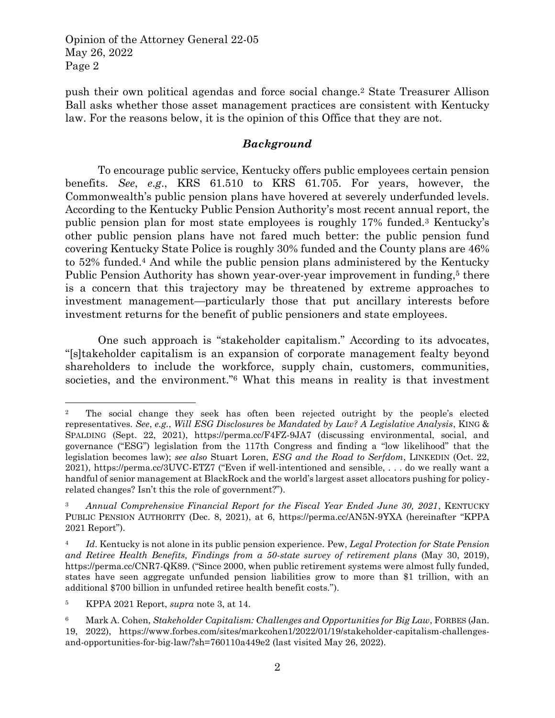push their own political agendas and force social change.<sup>2</sup> State Treasurer Allison Ball asks whether those asset management practices are consistent with Kentucky law. For the reasons below, it is the opinion of this Office that they are not.

### *Background*

To encourage public service, Kentucky offers public employees certain pension benefits. *See*, *e*.*g*., KRS 61.510 to KRS 61.705. For years, however, the Commonwealth's public pension plans have hovered at severely underfunded levels. According to the Kentucky Public Pension Authority's most recent annual report, the public pension plan for most state employees is roughly 17% funded.<sup>3</sup> Kentucky's other public pension plans have not fared much better: the public pension fund covering Kentucky State Police is roughly 30% funded and the County plans are 46% to 52% funded.<sup>4</sup> And while the public pension plans administered by the Kentucky Public Pension Authority has shown year-over-year improvement in funding,<sup>5</sup> there is a concern that this trajectory may be threatened by extreme approaches to investment management—particularly those that put ancillary interests before investment returns for the benefit of public pensioners and state employees.

One such approach is "stakeholder capitalism." According to its advocates, "[s]takeholder capitalism is an expansion of corporate management fealty beyond shareholders to include the workforce, supply chain, customers, communities, societies, and the environment."<sup>6</sup> What this means in reality is that investment

l

<sup>&</sup>lt;sup>2</sup> The social change they seek has often been rejected outright by the people's elected representatives. *See*, *e.g.*, *Will ESG Disclosures be Mandated by Law? A Legislative Analysis*, KING & SPALDING (Sept. 22, 2021), https://perma.cc/F4FZ-9JA7 (discussing environmental, social, and governance ("ESG") legislation from the 117th Congress and finding a "low likelihood" that the legislation becomes law); *see also* Stuart Loren, *ESG and the Road to Serfdom*, LINKEDIN (Oct. 22, 2021), https://perma.cc/3UVC-ETZ7 ("Even if well-intentioned and sensible, . . . do we really want a handful of senior management at BlackRock and the world's largest asset allocators pushing for policyrelated changes? Isn't this the role of government?").

<sup>&</sup>lt;sup>3</sup> Annual Comprehensive Financial Report for the Fiscal Year Ended June 30, 2021, KENTUCKY PUBLIC PENSION AUTHORITY (Dec. 8, 2021), at 6, https://perma.cc/AN5N-9YXA (hereinafter "KPPA 2021 Report").

<sup>4</sup> *Id*. Kentucky is not alone in its public pension experience. Pew, *Legal Protection for State Pension and Retiree Health Benefits, Findings from a 50-state survey of retirement plans* (May 30, 2019), https://perma.cc/CNR7-QK89. ("Since 2000, when public retirement systems were almost fully funded, states have seen aggregate unfunded pension liabilities grow to more than \$1 trillion, with an additional \$700 billion in unfunded retiree health benefit costs.").

<sup>5</sup> KPPA 2021 Report, *supra* note 3, at 14.

<sup>6</sup> Mark A. Cohen, *Stakeholder Capitalism: Challenges and Opportunities for Big Law*, FORBES (Jan. 19, 2022), https://www.forbes.com/sites/markcohen1/2022/01/19/stakeholder-capitalism-challengesand-opportunities-for-big-law/?sh=760110a449e2 (last visited May 26, 2022).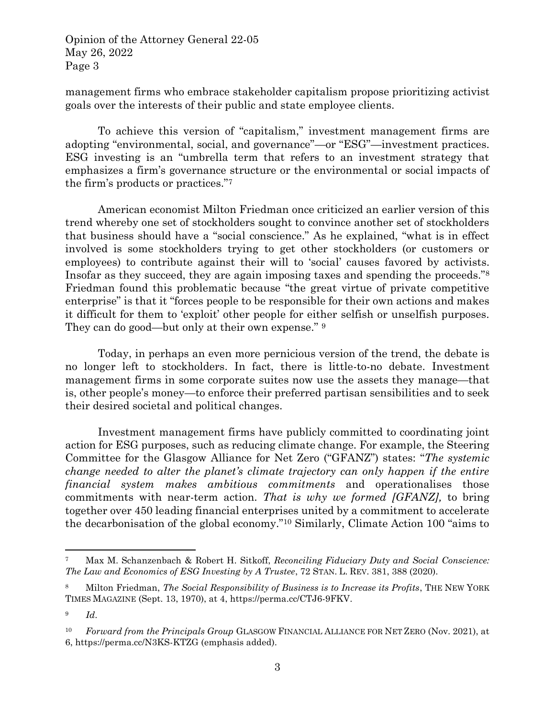management firms who embrace stakeholder capitalism propose prioritizing activist goals over the interests of their public and state employee clients.

To achieve this version of "capitalism," investment management firms are adopting "environmental, social, and governance"—or "ESG"—investment practices. ESG investing is an "umbrella term that refers to an investment strategy that emphasizes a firm's governance structure or the environmental or social impacts of the firm's products or practices."<sup>7</sup>

American economist Milton Friedman once criticized an earlier version of this trend whereby one set of stockholders sought to convince another set of stockholders that business should have a "social conscience." As he explained, "what is in effect involved is some stockholders trying to get other stockholders (or customers or employees) to contribute against their will to 'social' causes favored by activists. Insofar as they succeed, they are again imposing taxes and spending the proceeds."<sup>8</sup> Friedman found this problematic because "the great virtue of private competitive enterprise" is that it "forces people to be responsible for their own actions and makes it difficult for them to 'exploit' other people for either selfish or unselfish purposes. They can do good—but only at their own expense." <sup>9</sup>

Today, in perhaps an even more pernicious version of the trend, the debate is no longer left to stockholders. In fact, there is little-to-no debate. Investment management firms in some corporate suites now use the assets they manage—that is, other people's money—to enforce their preferred partisan sensibilities and to seek their desired societal and political changes.

Investment management firms have publicly committed to coordinating joint action for ESG purposes, such as reducing climate change. For example, the Steering Committee for the Glasgow Alliance for Net Zero ("GFANZ") states: "*The systemic change needed to alter the planet's climate trajectory can only happen if the entire financial system makes ambitious commitments* and operationalises those commitments with near-term action. *That is why we formed [GFANZ],* to bring together over 450 leading financial enterprises united by a commitment to accelerate the decarbonisation of the global economy."<sup>10</sup> Similarly, Climate Action 100 "aims to

l

<sup>7</sup> Max M. Schanzenbach & Robert H. Sitkoff, *Reconciling Fiduciary Duty and Social Conscience: The Law and Economics of ESG Investing by A Trustee*, 72 STAN. L. REV. 381, 388 (2020).

<sup>8</sup> Milton Friedman, *The Social Responsibility of Business is to Increase its Profits*, THE NEW YORK TIMES MAGAZINE (Sept. 13, 1970), at 4, https://perma.cc/CTJ6-9FKV.

<sup>9</sup> *Id*.

<sup>10</sup> *Forward from the Principals Group* GLASGOW FINANCIAL ALLIANCE FOR NET ZERO (Nov. 2021), at 6, https://perma.cc/N3KS-KTZG (emphasis added).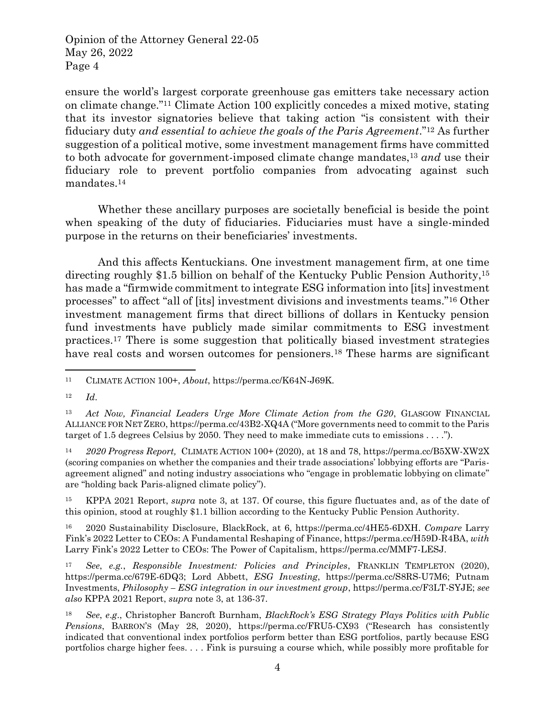ensure the world's largest corporate greenhouse gas emitters take necessary action on climate change."<sup>11</sup> Climate Action 100 explicitly concedes a mixed motive, stating that its investor signatories believe that taking action "is consistent with their fiduciary duty *and essential to achieve the goals of the Paris Agreement*."<sup>12</sup> As further suggestion of a political motive, some investment management firms have committed to both advocate for government-imposed climate change mandates,<sup>13</sup> *and* use their fiduciary role to prevent portfolio companies from advocating against such mandates.<sup>14</sup>

Whether these ancillary purposes are societally beneficial is beside the point when speaking of the duty of fiduciaries. Fiduciaries must have a single-minded purpose in the returns on their beneficiaries' investments.

And this affects Kentuckians. One investment management firm, at one time directing roughly \$1.5 billion on behalf of the Kentucky Public Pension Authority,<sup>15</sup> has made a "firmwide commitment to integrate ESG information into [its] investment processes" to affect "all of [its] investment divisions and investments teams."<sup>16</sup> Other investment management firms that direct billions of dollars in Kentucky pension fund investments have publicly made similar commitments to ESG investment practices.<sup>17</sup> There is some suggestion that politically biased investment strategies have real costs and worsen outcomes for pensioners.<sup>18</sup> These harms are significant

 $\overline{a}$ 

<sup>14</sup> *2020 Progress Report,* CLIMATE ACTION 100+ (2020), at 18 and 78, https://perma.cc/B5XW-XW2X (scoring companies on whether the companies and their trade associations' lobbying efforts are "Parisagreement aligned" and noting industry associations who "engage in problematic lobbying on climate" are "holding back Paris-aligned climate policy").

<sup>15</sup> KPPA 2021 Report, *supra* note 3, at 137. Of course, this figure fluctuates and, as of the date of this opinion, stood at roughly \$1.1 billion according to the Kentucky Public Pension Authority.

<sup>16</sup> 2020 Sustainability Disclosure, BlackRock, at 6, https://perma.cc/4HE5-6DXH. *Compare* Larry Fink's 2022 Letter to CEOs: A Fundamental Reshaping of Finance, https://perma.cc/H59D-R4BA, *with* Larry Fink's 2022 Letter to CEOs: The Power of Capitalism, https://perma.cc/MMF7-LESJ.

<sup>17</sup> *See*, *e.g.*, *Responsible Investment: Policies and Principles*, FRANKLIN TEMPLETON (2020), https://perma.cc/679E-6DQ3; Lord Abbett, *ESG Investing*, https://perma.cc/S8RS-U7M6; Putnam Investments, *Philosophy – ESG integration in our investment group*, https://perma.cc/F3LT-SYJE; *see also* KPPA 2021 Report, *supra* note 3, at 136-37.

<sup>11</sup> CLIMATE ACTION 100+, *About*, https://perma.cc/K64N-J69K*.*

<sup>12</sup> *Id*.

<sup>13</sup> *Act Now, Financial Leaders Urge More Climate Action from the G20*, GLASGOW FINANCIAL ALLIANCE FOR NET ZERO, https://perma.cc/43B2-XQ4A ("More governments need to commit to the Paris target of 1.5 degrees Celsius by 2050. They need to make immediate cuts to emissions . . . .").

<sup>18</sup> *See*, *e*.*g*., Christopher Bancroft Burnham, *BlackRock's ESG Strategy Plays Politics with Public Pensions*, BARRON'S (May 28, 2020), https://perma.cc/FRU5-CX93 ("Research has consistently indicated that conventional index portfolios perform better than ESG portfolios, partly because ESG portfolios charge higher fees. . . . Fink is pursuing a course which, while possibly more profitable for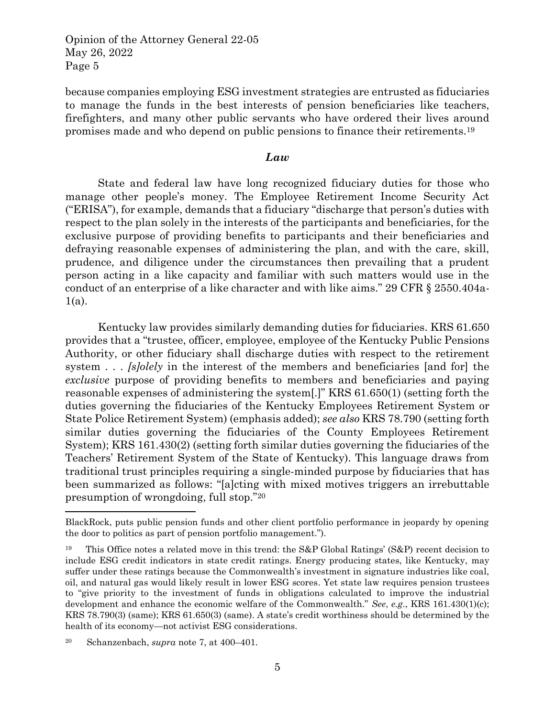because companies employing ESG investment strategies are entrusted as fiduciaries to manage the funds in the best interests of pension beneficiaries like teachers, firefighters, and many other public servants who have ordered their lives around promises made and who depend on public pensions to finance their retirements.<sup>19</sup>

#### *Law*

State and federal law have long recognized fiduciary duties for those who manage other people's money. The Employee Retirement Income Security Act ("ERISA"), for example, demands that a fiduciary "discharge that person's duties with respect to the plan solely in the interests of the participants and beneficiaries, for the exclusive purpose of providing benefits to participants and their beneficiaries and defraying reasonable expenses of administering the plan, and with the care, skill, prudence, and diligence under the circumstances then prevailing that a prudent person acting in a like capacity and familiar with such matters would use in the conduct of an enterprise of a like character and with like aims." 29 CFR § 2550.404a- $1(a)$ .

Kentucky law provides similarly demanding duties for fiduciaries. KRS 61.650 provides that a "trustee, officer, employee, employee of the Kentucky Public Pensions Authority, or other fiduciary shall discharge duties with respect to the retirement system . . . *[s]olely* in the interest of the members and beneficiaries [and for] the *exclusive* purpose of providing benefits to members and beneficiaries and paying reasonable expenses of administering the system[.]" KRS 61.650(1) (setting forth the duties governing the fiduciaries of the Kentucky Employees Retirement System or State Police Retirement System) (emphasis added); *see also* KRS 78.790 (setting forth similar duties governing the fiduciaries of the County Employees Retirement System); KRS 161.430(2) (setting forth similar duties governing the fiduciaries of the Teachers' Retirement System of the State of Kentucky). This language draws from traditional trust principles requiring a single-minded purpose by fiduciaries that has been summarized as follows: "[a]cting with mixed motives triggers an irrebuttable presumption of wrongdoing, full stop."<sup>20</sup>

 $\overline{\phantom{a}}$ 

BlackRock, puts public pension funds and other client portfolio performance in jeopardy by opening the door to politics as part of pension portfolio management.").

<sup>19</sup> This Office notes a related move in this trend: the S&P Global Ratings' (S&P) recent decision to include ESG credit indicators in state credit ratings. Energy producing states, like Kentucky, may suffer under these ratings because the Commonwealth's investment in signature industries like coal, oil, and natural gas would likely result in lower ESG scores. Yet state law requires pension trustees to "give priority to the investment of funds in obligations calculated to improve the industrial development and enhance the economic welfare of the Commonwealth." *See*, *e.g*., KRS 161.430(1)(c); KRS 78.790(3) (same); KRS 61.650(3) (same). A state's credit worthiness should be determined by the health of its economy—not activist ESG considerations.

<sup>20</sup> Schanzenbach, *supra* note 7, at 400–401.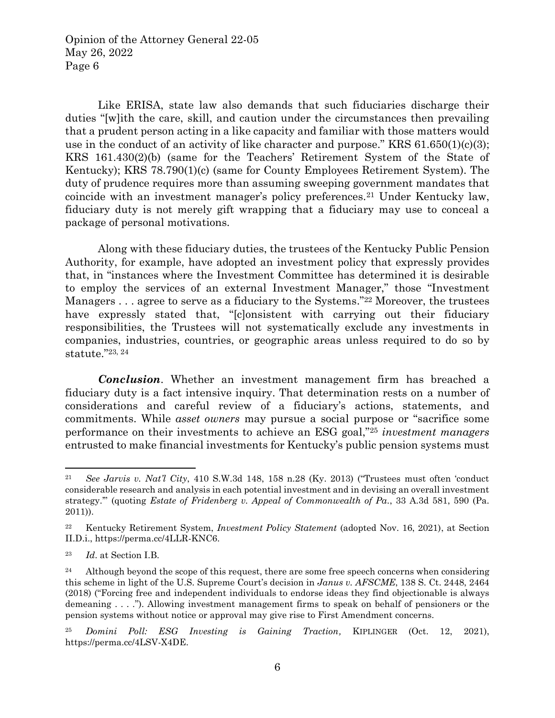Like ERISA, state law also demands that such fiduciaries discharge their duties "[w]ith the care, skill, and caution under the circumstances then prevailing that a prudent person acting in a like capacity and familiar with those matters would use in the conduct of an activity of like character and purpose." KRS  $61.650(1)(c)(3)$ ; KRS 161.430(2)(b) (same for the Teachers' Retirement System of the State of Kentucky); KRS 78.790(1)(c) (same for County Employees Retirement System). The duty of prudence requires more than assuming sweeping government mandates that coincide with an investment manager's policy preferences.<sup>21</sup> Under Kentucky law, fiduciary duty is not merely gift wrapping that a fiduciary may use to conceal a package of personal motivations.

Along with these fiduciary duties, the trustees of the Kentucky Public Pension Authority, for example, have adopted an investment policy that expressly provides that, in "instances where the Investment Committee has determined it is desirable to employ the services of an external Investment Manager," those "Investment Managers . . . agree to serve as a fiduciary to the Systems."<sup>22</sup> Moreover, the trustees have expressly stated that, "[c]onsistent with carrying out their fiduciary responsibilities, the Trustees will not systematically exclude any investments in companies, industries, countries, or geographic areas unless required to do so by statute."23, 24

*Conclusion*. Whether an investment management firm has breached a fiduciary duty is a fact intensive inquiry. That determination rests on a number of considerations and careful review of a fiduciary's actions, statements, and commitments. While *asset owners* may pursue a social purpose or "sacrifice some performance on their investments to achieve an ESG goal,"<sup>25</sup> *investment managers* entrusted to make financial investments for Kentucky's public pension systems must

 $\overline{\phantom{a}}$ 

<sup>21</sup> *See Jarvis v. Nat'l City*, 410 S.W.3d 148, 158 n.28 (Ky. 2013) ("Trustees must often 'conduct considerable research and analysis in each potential investment and in devising an overall investment strategy.'" (quoting *Estate of Fridenberg v. Appeal of Commonwealth of Pa.*, 33 A.3d 581, 590 (Pa. 2011)).

<sup>22</sup> Kentucky Retirement System, *Investment Policy Statement* (adopted Nov. 16, 2021), at Section II.D.i., https://perma.cc/4LLR-KNC6.

<sup>23</sup> *Id*. at Section I.B.

 $24$  Although beyond the scope of this request, there are some free speech concerns when considering this scheme in light of the U.S. Supreme Court's decision in *Janus v. AFSCME*, 138 S. Ct. 2448, 2464 (2018) ("Forcing free and independent individuals to endorse ideas they find objectionable is always demeaning . . . ."). Allowing investment management firms to speak on behalf of pensioners or the pension systems without notice or approval may give rise to First Amendment concerns.

<sup>25</sup> *Domini Poll: ESG Investing is Gaining Traction,* KIPLINGER (Oct. 12, 2021), https://perma.cc/4LSV-X4DE.